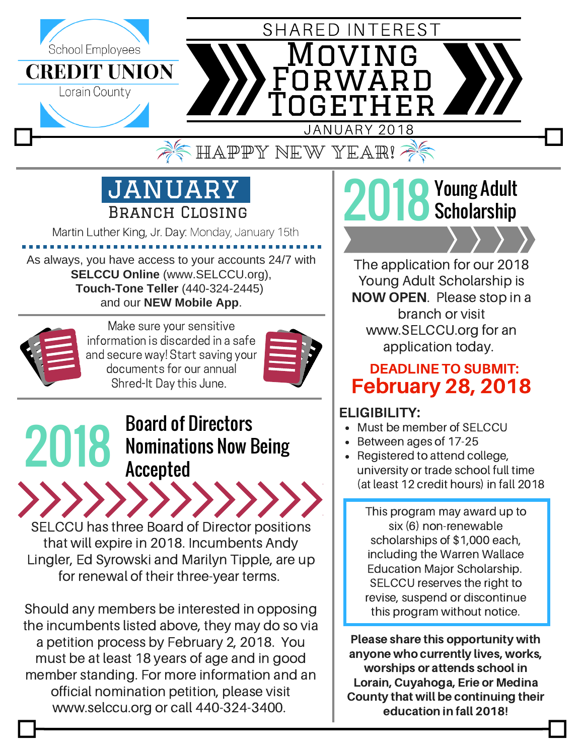

# JANUARY Branch Closing

Martin Luther King, Jr. Day: Monday, January 15th

As always, you have access to your accounts 24/7 with **SELCCU Online** (www.SELCCU.org), **Touch-Tone Teller** (440-324-2445) and our **NEW Mobile App**.



Make sure your sensitive information is discarded in a safe and secure way! Start saving your documents for our annual Shred-It Day this June.



#### 2018 Board of Directors Nominations Now Being Accepted

SELCCU has three Board of Director positions that will expire in 2018. Incumbents Andy Lingler, Ed Syrowski and Marilyn Tipple, are up for renewal of their three-year terms.

Should any members be interested in opposing the incumbents listed above, they may do so via a petition process by February 2, 2018. You must be at least 18 years of age and in good member standing. For more information and an official nomination petition, please visit www.selccu.org or call 440-324-3400.

## 2018 Young Adult **Scholarship**

The application for our 2018 Young Adult Scholarship is NOW OPEN. Please stop in a branch or visit www.SELCCU.org for an application today.

### February 28, 2018 DEADLINE TO SUBMIT:

### ELIGIBILITY:

- Must be member of SELCCU
- Between ages of 17-25
- Registered to attend college, university or trade school full time (at least 12 credit hours) in fall 2018

This program may award up to six (6) non-renewable scholarships of \$1,000 each, including the Warren Wallace Education Major Scholarship. SELCCU reserves the right to revise, suspend or discontinue this program without notice.

Please share this opportunity with anyone who currently lives, works, worships or attends school in Lorain, Cuyahoga, Erie or Medina County that will be continuing their education in fall 2018!